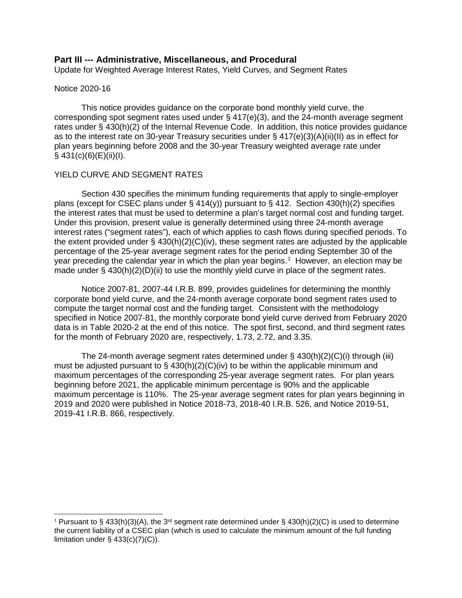## **Part III --- Administrative, Miscellaneous, and Procedural**

Update for Weighted Average Interest Rates, Yield Curves, and Segment Rates

#### Notice 2020-16

This notice provides guidance on the corporate bond monthly yield curve, the corresponding spot segment rates used under  $\S$  417(e)(3), and the 24-month average segment rates under § 430(h)(2) of the Internal Revenue Code. In addition, this notice provides guidance as to the interest rate on 30-year Treasury securities under § 417(e)(3)(A)(ii)(II) as in effect for plan years beginning before 2008 and the 30-year Treasury weighted average rate under  $§$  431(c)(6)(E)(ii)(I).

## YIELD CURVE AND SEGMENT RATES

Section 430 specifies the minimum funding requirements that apply to single-employer plans (except for CSEC plans under § 414(y)) pursuant to § 412. Section 430(h)(2) specifies the interest rates that must be used to determine a plan's target normal cost and funding target. Under this provision, present value is generally determined using three 24-month average interest rates ("segment rates"), each of which applies to cash flows during specified periods. To the extent provided under  $\S$  430(h)(2)(C)(iv), these segment rates are adjusted by the applicable percentage of the 25-year average segment rates for the period ending September 30 of the year preceding the calendar year in which the plan year begins.<sup>[1](#page-0-0)</sup> However, an election may be made under § 430(h)(2)(D)(ii) to use the monthly yield curve in place of the segment rates.

Notice 2007-81, 2007-44 I.R.B. 899, provides guidelines for determining the monthly corporate bond yield curve, and the 24-month average corporate bond segment rates used to compute the target normal cost and the funding target. Consistent with the methodology specified in Notice 2007-81, the monthly corporate bond yield curve derived from February 2020 data is in Table 2020-2 at the end of this notice. The spot first, second, and third segment rates for the month of February 2020 are, respectively, 1.73, 2.72, and 3.35.

The 24-month average segment rates determined under  $\S$  430(h)(2)(C)(i) through (iii) must be adjusted pursuant to  $\S$  430(h)(2)(C)(iv) to be within the applicable minimum and maximum percentages of the corresponding 25-year average segment rates. For plan years beginning before 2021, the applicable minimum percentage is 90% and the applicable maximum percentage is 110%. The 25-year average segment rates for plan years beginning in 2019 and 2020 were published in Notice 2018-73, 2018-40 I.R.B. 526, and Notice 2019-51, 2019-41 I.R.B. 866, respectively.

<span id="page-0-0"></span><sup>&</sup>lt;sup>1</sup> Pursuant to § 433(h)(3)(A), the 3<sup>rd</sup> segment rate determined under § 430(h)(2)(C) is used to determine the current liability of a CSEC plan (which is used to calculate the minimum amount of the full funding limitation under  $\S$  433(c)(7)(C)).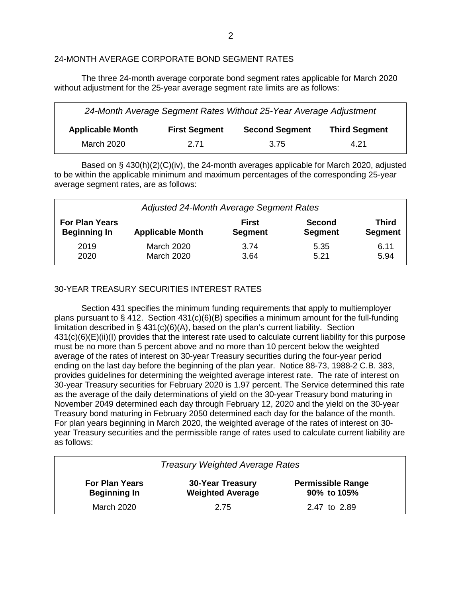## 24-MONTH AVERAGE CORPORATE BOND SEGMENT RATES

The three 24-month average corporate bond segment rates applicable for March 2020 without adjustment for the 25-year average segment rate limits are as follows:

| 24-Month Average Segment Rates Without 25-Year Average Adjustment |                      |                       |                      |  |  |  |  |  |
|-------------------------------------------------------------------|----------------------|-----------------------|----------------------|--|--|--|--|--|
| <b>Applicable Month</b>                                           | <b>First Segment</b> | <b>Second Segment</b> | <b>Third Segment</b> |  |  |  |  |  |
| March 2020                                                        | 2.71                 | 3.75                  | 4.21                 |  |  |  |  |  |

Based on § 430(h)(2)(C)(iv), the 24-month averages applicable for March 2020, adjusted to be within the applicable minimum and maximum percentages of the corresponding 25-year average segment rates, are as follows:

| Adjusted 24-Month Average Segment Rates |                         |                |                |                |  |  |  |  |
|-----------------------------------------|-------------------------|----------------|----------------|----------------|--|--|--|--|
| <b>For Plan Years</b>                   | <b>Applicable Month</b> | <b>First</b>   | <b>Second</b>  | <b>Third</b>   |  |  |  |  |
| <b>Beginning In</b>                     |                         | <b>Segment</b> | <b>Segment</b> | <b>Segment</b> |  |  |  |  |
| 2019                                    | <b>March 2020</b>       | 3.74           | 5.35           | 6.11           |  |  |  |  |
| 2020                                    | <b>March 2020</b>       | 3.64           | 5.21           | 5.94           |  |  |  |  |

## 30-YEAR TREASURY SECURITIES INTEREST RATES

Section 431 specifies the minimum funding requirements that apply to multiemployer plans pursuant to § 412. Section  $431(c)(6)(B)$  specifies a minimum amount for the full-funding limitation described in § 431(c)(6)(A), based on the plan's current liability. Section 431(c)(6)(E)(ii)(I) provides that the interest rate used to calculate current liability for this purpose must be no more than 5 percent above and no more than 10 percent below the weighted average of the rates of interest on 30-year Treasury securities during the four-year period ending on the last day before the beginning of the plan year. Notice 88-73, 1988-2 C.B. 383, provides guidelines for determining the weighted average interest rate. The rate of interest on 30-year Treasury securities for February 2020 is 1.97 percent. The Service determined this rate as the average of the daily determinations of yield on the 30-year Treasury bond maturing in November 2049 determined each day through February 12, 2020 and the yield on the 30-year Treasury bond maturing in February 2050 determined each day for the balance of the month. For plan years beginning in March 2020, the weighted average of the rates of interest on 30 year Treasury securities and the permissible range of rates used to calculate current liability are as follows:

| <b>Treasury Weighted Average Rates</b>       |                                                    |                                         |  |  |  |  |  |  |
|----------------------------------------------|----------------------------------------------------|-----------------------------------------|--|--|--|--|--|--|
| <b>For Plan Years</b><br><b>Beginning In</b> | <b>30-Year Treasury</b><br><b>Weighted Average</b> | <b>Permissible Range</b><br>90% to 105% |  |  |  |  |  |  |
| March 2020                                   | 2.75                                               | 2.47 to 2.89                            |  |  |  |  |  |  |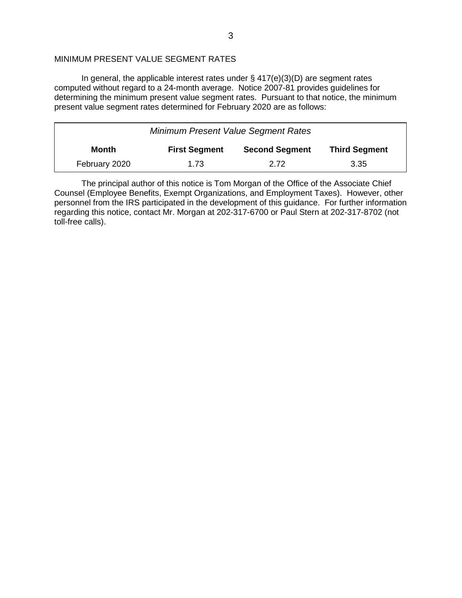## MINIMUM PRESENT VALUE SEGMENT RATES

In general, the applicable interest rates under  $\S$  417(e)(3)(D) are segment rates computed without regard to a 24-month average. Notice 2007-81 provides guidelines for determining the minimum present value segment rates. Pursuant to that notice, the minimum present value segment rates determined for February 2020 are as follows:

| <b>Minimum Present Value Segment Rates</b> |                      |                       |                      |  |  |  |  |  |
|--------------------------------------------|----------------------|-----------------------|----------------------|--|--|--|--|--|
| Month                                      | <b>First Segment</b> | <b>Second Segment</b> | <b>Third Segment</b> |  |  |  |  |  |
| February 2020                              | 1.73                 | 2.72                  | 3.35                 |  |  |  |  |  |

The principal author of this notice is Tom Morgan of the Office of the Associate Chief Counsel (Employee Benefits, Exempt Organizations, and Employment Taxes). However, other personnel from the IRS participated in the development of this guidance. For further information regarding this notice, contact Mr. Morgan at 202-317-6700 or Paul Stern at 202-317-8702 (not toll-free calls).